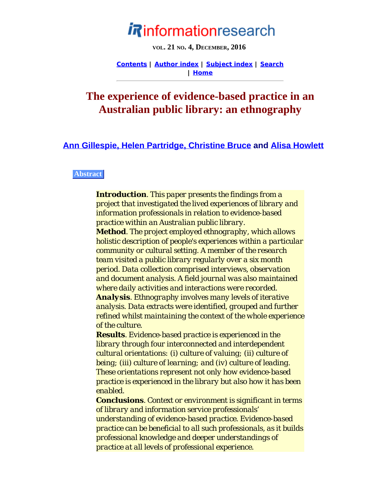# *i* Rinformationresearch

**VOL. 21 NO. 4, DECEMBER, 2016**

**[Contents](http://www.informationr.net/ir/21-4/infres214.html) | [Author index](http://www.informationr.net/ir/iraindex.html) | [Subject index](http://www.informationr.net/ir/irsindex.html) | [Search](http://www.informationr.net/ir/search.html) | [Home](http://www.informationr.net/ir/index.html)**

# **The experience of evidence-based practice in an Australian public library: an ethnography**

**[Ann Gillespie, Helen Partridge, Christine Bruce](#page-30-0) and [Alisa Howlett](#page-30-0)**

#### **Abstract**

*Introduction. This paper presents the findings from a project that investigated the lived experiences of library and information professionals in relation to evidence-based practice within an Australian public library. Method. The project employed ethnography, which allows holistic description of people's experiences within a particular community or cultural setting. A member of the research team visited a public library regularly over a six month period. Data collection comprised interviews, observation and document analysis. A field journal was also maintained where daily activities and interactions were recorded. Analysis. Ethnography involves many levels of iterative analysis. Data extracts were identified, grouped and further refined whilst maintaining the context of the whole experience of the culture.*

*Results. Evidence-based practice is experienced in the library through four interconnected and interdependent cultural orientations: (i) culture of valuing; (ii) culture of being; (iii) culture of learning; and (iv) culture of leading. These orientations represent not only how evidence-based practice is experienced in the library but also how it has been enabled.*

*Conclusions. Context or environment is significant in terms of library and information service professionals' understanding of evidence-based practice. Evidence-based practice can be beneficial to all such professionals, as it builds professional knowledge and deeper understandings of practice at all levels of professional experience.*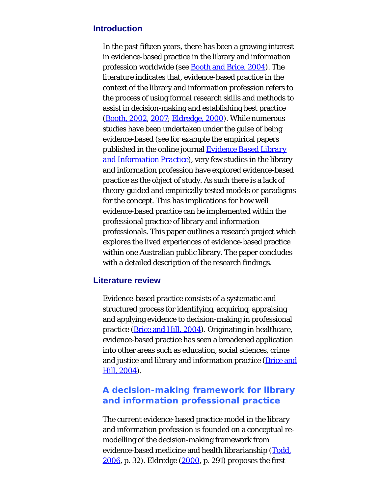#### **Introduction**

In the past fifteen years, there has been a growing interest in evidence-based practice in the library and information profession worldwide (see [Booth and Brice, 2004](#page-34-0)). The literature indicates that, evidence-based practice in the context of the library and information profession refers to the process of using formal research skills and methods to assist in decision-making and establishing best practice ([Booth, 2002](#page-34-0), [2007](#page-34-0); [Eldredge, 2000](#page-34-0)). While numerous studies have been undertaken under the guise of being evidence-based (see for example the empirical papers published in the online journal *[Evidence Based Library](https://ejournals.library.ualberta.ca/index.php/EBLIP/) [and Information Practice](https://ejournals.library.ualberta.ca/index.php/EBLIP/)*), very few studies in the library and information profession have explored evidence-based practice as the object of study. As such there is a lack of theory-guided and empirically tested models or paradigms for the concept. This has implications for how well evidence-based practice can be implemented within the professional practice of library and information professionals. This paper outlines a research project which explores the lived experiences of evidence-based practice within one Australian public library. The paper concludes with a detailed description of the research findings.

#### **Literature review**

Evidence-based practice consists of a systematic and structured process for identifying, acquiring, appraising and applying evidence to decision-making in professional practice [\(Brice and Hill, 2004](#page-34-0)). Originating in healthcare, evidence-based practice has seen a broadened application into other areas such as education, social sciences, crime and justice and library and information practice [\(Brice and](#page-34-0) [Hill, 2004](#page-34-0)).

# **A decision-making framework for library and information professional practice**

The current evidence-based practice model in the library and information profession is founded on a conceptual remodelling of the decision-making framework from evidence-based medicine and health librarianship [\(Todd,](#page-34-1)  $2006$ , p. 32). Eldredge  $(2000, p. 291)$  $(2000, p. 291)$  $(2000, p. 291)$  proposes the first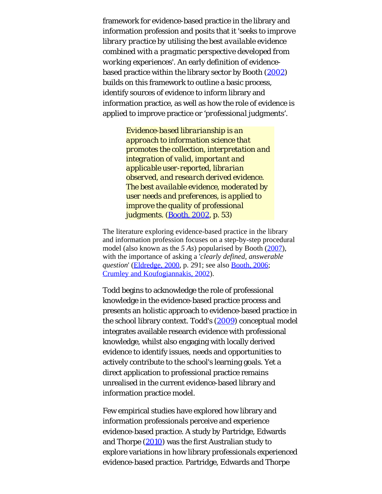framework for evidence-based practice in the library and information profession and posits that it '*seeks to improve library practice by utilising the best available evidence combined with a pragmatic perspective developed from working experiences*'. An early definition of evidencebased practice within the library sector by Booth ([2002](#page-34-0)) builds on this framework to outline a basic process, identify sources of evidence to inform library and information practice, as well as how the role of evidence is applied to improve practice or '*professional judgments*'.

> *Evidence-based librarianship is an approach to information science that promotes the collection, interpretation and integration of valid, important and applicable user-reported, librarian observed, and research derived evidence. The best available evidence, moderated by user needs and preferences, is applied to improve the quality of professional judgments. [\(Booth, 2002](#page-34-0), p. 53)*

The literature exploring evidence-based practice in the library and information profession focuses on a step-by-step procedural model (also known as the *5 As*) popularised by Booth [\(2007](#page-34-0)), with the importance of asking a '*clearly defined, answerable question*' [\(Eldredge, 2000](#page-34-0), p. 291; see also [Booth, 2006](#page-34-0); [Crumley and Koufogiannakis, 2002\)](#page-34-0).

Todd begins to acknowledge the role of professional knowledge in the evidence-based practice process and presents an *holistic* approach to evidence-based practice in the school library context. Todd's ([2009\)](#page-34-2) conceptual model integrates available research evidence with professional knowledge, whilst also engaging with locally derived evidence to identify issues, needs and opportunities to actively contribute to the school's learning goals. Yet a direct application to professional practice remains unrealised in the current evidence-based library and information practice model.

Few empirical studies have explored how library and information professionals perceive and experience evidence-based practice. A study by Partridge, Edwards and Thorpe [\(2010](#page-34-0)) was the first Australian study to explore variations in how library professionals experienced evidence-based practice. Partridge, Edwards and Thorpe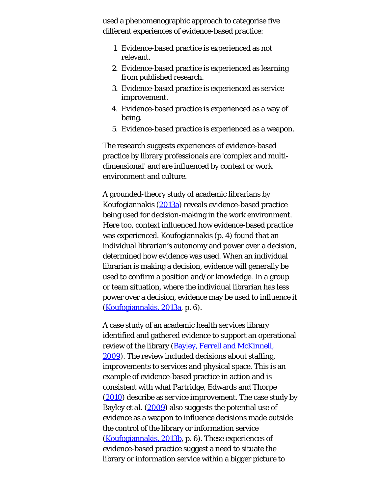used a phenomenographic approach to categorise five different experiences of evidence-based practice:

- 1. Evidence-based practice is experienced as not relevant.
- 2. Evidence-based practice is experienced as learning from published research.
- 3. Evidence-based practice is experienced as service improvement.
- 4. Evidence-based practice is experienced as a way of being.
- 5. Evidence-based practice is experienced as a weapon.

The research suggests experiences of evidence-based practice by library professionals are '*complex and multidimensional*' and are influenced by context or work environment and culture.

A grounded-theory study of academic librarians by Koufogiannakis ([2013a\)](#page-34-0) reveals evidence-based practice being used for decision-making in the work environment. Here too, context influenced how evidence-based practice was experienced. Koufogiannakis (p. 4) found that an individual librarian's autonomy and power over a decision, determined how evidence was used. When an individual librarian is making a decision, evidence will generally be used to confirm a position and/or knowledge. In a group or team situation, where the individual librarian has less power over a decision, evidence may be used to influence it [\(Koufogiannakis, 2013a](#page-34-0), p. 6).

A case study of an academic health services library identified and gathered evidence to support an operational review of the library [\(Bayley, Ferrell and McKinnell,](#page-34-0) [2009\)](#page-34-0). The review included decisions about staffing, improvements to services and physical space. This is an example of evidence-based practice in action and is consistent with what Partridge, Edwards and Thorpe [\(2010](#page-34-0)) describe as *service improvement*. The case study by Bayley *et al.* ([2009](#page-34-0)) also suggests the potential use of evidence as a weapon to influence decisions made outside the control of the library or information service ([Koufogiannakis, 2013b,](#page-34-0) p. 6). These experiences of evidence-based practice suggest a need to situate the library or information service within a bigger picture to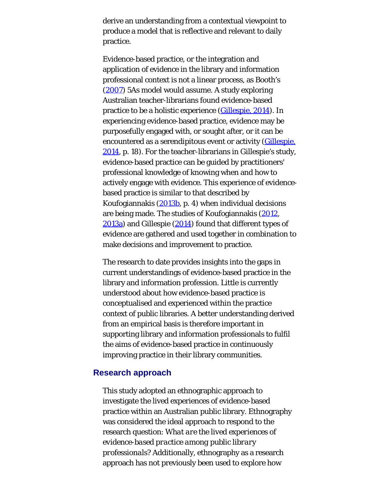derive an understanding from a contextual viewpoint to produce a model that is reflective and relevant to daily practice.

Evidence-based practice, or the integration and application of evidence in the library and information professional context is not a linear process, as Booth's ([2007](#page-34-0)) 5As model would assume. A study exploring Australian teacher-librarians found evidence-based practice to be a holistic experience ([Gillespie, 2014\)](#page-34-0). In experiencing evidence-based practice, evidence may be purposefully engaged with, or sought after, or it can be encountered as a serendipitous event or activity (**Gillespie**, [2014,](#page-34-0) p. 18). For the teacher-librarians in Gillespie's study, evidence-based practice can be guided by practitioners' professional knowledge of knowing when and how to actively engage with evidence. This experience of evidencebased practice is similar to that described by Koufogiannakis ([2013b](#page-34-0), p. 4) when individual decisions are being made. The studies of Koufogiannakis [\(2012](#page-34-0), [2013a\)](#page-34-0) and Gillespie [\(2014](#page-34-0)) found that different types of evidence are gathered and used together in combination to make decisions and improvement to practice.

The research to date provides insights into the gaps in current understandings of evidence-based practice in the library and information profession. Little is currently understood about how evidence-based practice is conceptualised and experienced within the practice context of public libraries. A better understanding derived from an empirical basis is therefore important in supporting library and information professionals to fulfil the aims of evidence-based practice in continuously improving practice in their library communities.

#### **Research approach**

This study adopted an ethnographic approach to investigate the lived experiences of evidence-based practice within an Australian public library. Ethnography was considered the ideal approach to respond to the research question: *What are the lived experiences of evidence-based practice among public library professionals?* Additionally, ethnography as a research approach has not previously been used to explore how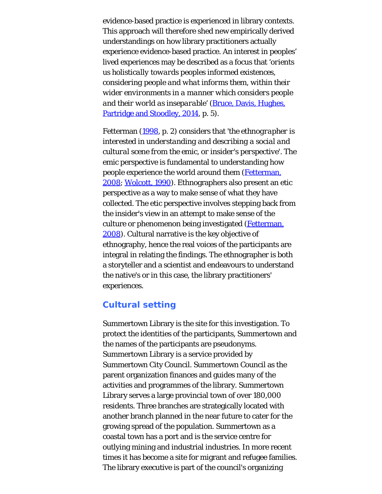evidence-based practice is experienced in library contexts. This approach will therefore shed new empirically derived understandings on how library practitioners actually experience evidence-based practice. An interest in peoples' lived experiences may be described as a focus that '*orients us holistically towards peoples informed existences, considering people and what informs them, within their wider environments in a manner which considers people and their world as inseparable*' [\(Bruce, Davis, Hughes,](#page-34-0) [Partridge and Stoodley, 2014,](#page-34-0) p. 5).

Fetterman ([1998,](#page-34-0) p. 2) considers that '*the ethnographer is interested in understanding and describing a social and cultural scene from the emic, or insider's perspective*'. The emic perspective is fundamental to understanding how people experience the world around them ([Fetterman,](#page-34-0) [2008;](#page-34-0) [Wolcott, 1990](#page-34-3)). Ethnographers also present an etic perspective as a way to make sense of what they have collected. The etic perspective involves stepping back from the insider's view in an attempt to make sense of the culture or phenomenon being investigated [\(Fetterman,](#page-34-0) [2008\)](#page-34-0). Cultural narrative is the key objective of ethnography, hence the real voices of the participants are integral in relating the findings. The ethnographer is both a storyteller and a scientist and endeavours to understand the native's or in this case, the library practitioners' experiences.

#### **Cultural setting**

Summertown Library is the site for this investigation. To protect the identities of the participants, Summertown and the names of the participants are pseudonyms. Summertown Library is a service provided by Summertown City Council. Summertown Council as the parent organization finances and guides many of the activities and programmes of the library. Summertown Library serves a large provincial town of over 180,000 residents. Three branches are strategically located with another branch planned in the near future to cater for the growing spread of the population. Summertown as a coastal town has a port and is the service centre for outlying mining and industrial industries. In more recent times it has become a site for migrant and refugee families. The library executive is part of the council's organizing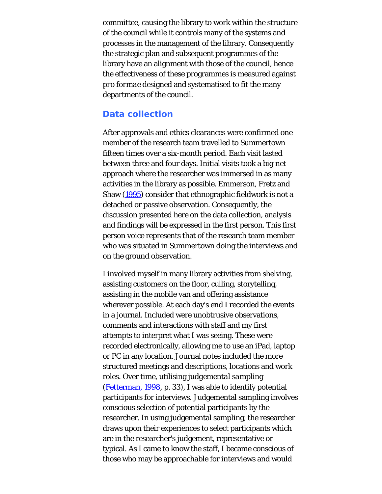committee, causing the library to work within the structure of the council while it controls many of the systems and processes in the management of the library. Consequently the strategic plan and subsequent programmes of the library have an alignment with those of the council, hence the effectiveness of these programmes is measured against *pro formae* designed and systematised to fit the many departments of the council.

# **Data collection**

After approvals and ethics clearances were confirmed one member of the research team travelled to Summertown fifteen times over a six-month period. Each visit lasted between three and four days. Initial visits took a *big net* approach where the researcher was immersed in as many activities in the library as possible. Emmerson, Fretz and Shaw ([1995\)](#page-34-0) consider that ethnographic fieldwork is not a detached or passive observation. Consequently, the discussion presented here on the data collection, analysis and findings will be expressed in the first person. This first person voice represents that of the research team member who was situated in Summertown doing the interviews and on the ground observation.

I involved myself in many library activities from shelving, assisting customers on the floor, culling, storytelling, assisting in the mobile van and offering assistance wherever possible. At each day's end I recorded the events in a journal. Included were unobtrusive observations, comments and interactions with staff and my first attempts to interpret what I was seeing. These were recorded electronically, allowing me to use an iPad, laptop or PC in any location. Journal notes included the more structured meetings and descriptions, locations and work roles. Over time, utilising *judgemental sampling* [\(Fetterman, 1998](#page-34-0), p. 33), I was able to identify potential participants for interviews. Judgemental sampling involves conscious selection of potential participants by the researcher. In using judgemental sampling, the researcher draws upon their experiences to select participants which are in the researcher's judgement, representative or typical. As I came to know the staff, I became conscious of those who may be approachable for interviews and would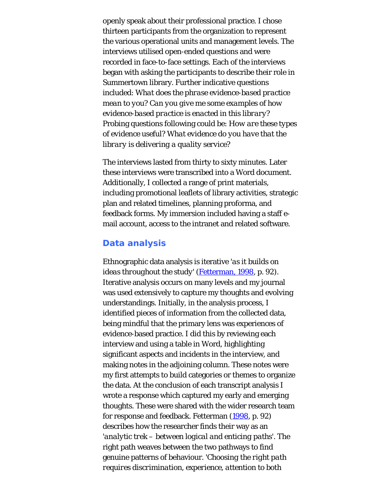openly speak about their professional practice. I chose thirteen participants from the organization to represent the various operational units and management levels. The interviews utilised open-ended questions and were recorded in face-to-face settings. Each of the interviews began with asking the participants to describe their role in Summertown library. Further indicative questions included: *What does the phrase evidence-based practice mean to you? Can you give me some examples of how evidence-based practice is enacted in this library?* Probing questions following could be: *How are these types of evidence useful? What evidence do you have that the library is delivering a quality service?*

The interviews lasted from thirty to sixty minutes. Later these interviews were transcribed into a Word document. Additionally, I collected a range of print materials, including promotional leaflets of library activities, strategic plan and related timelines, planning proforma, and feedback forms. My immersion included having a staff email account, access to the intranet and related software.

## **Data analysis**

Ethnographic data analysis is iterative '*as it builds on ideas throughout the study*' [\(Fetterman, 1998](#page-34-0), p. 92). Iterative analysis occurs on many levels and my journal was used extensively to capture my thoughts and evolving understandings. Initially, in the analysis process, I identified pieces of information from the collected data, being mindful that the primary lens was experiences of evidence-based practice. I did this by reviewing each interview and using a table in Word, highlighting significant aspects and incidents in the interview, and making notes in the adjoining column. These notes were my first attempts to build categories or themes to organize the data. At the conclusion of each transcript analysis I wrote a response which captured my early and emerging thoughts. These were shared with the wider research team for response and feedback. Fetterman [\(1998,](#page-34-0) p. 92) describes how the researcher finds their way as an '*analytic trek – between logical and enticing paths*'. The right path weaves between the two pathways to find genuine patterns of behaviour. '*Choosing the right path requires discrimination, experience, attention to both*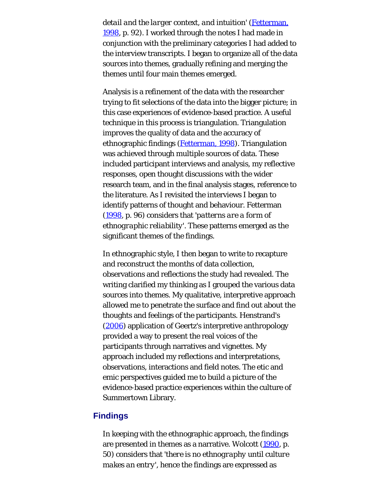*detail and the larger context, and intuition*' [\(Fetterman,](#page-34-0) [1998,](#page-34-0) p. 92). I worked through the notes I had made in conjunction with the preliminary categories I had added to the interview transcripts. I began to organize all of the data sources into themes, gradually refining and merging the themes until four main themes emerged.

Analysis is a refinement of the data with the researcher trying to fit selections of the data into the bigger picture; in this case experiences of evidence-based practice. A useful technique in this process is triangulation. Triangulation improves the quality of data and the accuracy of ethnographic findings [\(Fetterman, 1998](#page-34-0)). Triangulation was achieved through multiple sources of data. These included participant interviews and analysis, my reflective responses, open thought discussions with the wider research team, and in the final analysis stages, reference to the literature. As I revisited the interviews I began to identify patterns of thought and behaviour. Fetterman ([1998,](#page-34-0) p. 96) considers that '*patterns are a form of ethnographic reliability*'. These patterns emerged as the significant themes of the findings.

In ethnographic style, I then began to write to recapture and reconstruct the months of data collection, observations and reflections the study had revealed. The writing clarified my thinking as I grouped the various data sources into themes. My qualitative, interpretive approach allowed me to penetrate the surface and find out about the thoughts and feelings of the participants. Henstrand's ([2006](#page-34-0)) application of Geertz's interpretive anthropology provided a way to present the real voices of the participants through narratives and vignettes. My approach included my reflections and interpretations, observations, interactions and field notes. The etic and emic perspectives guided me to build a picture of the evidence-based practice experiences within the culture of Summertown Library.

#### **Findings**

In keeping with the ethnographic approach, the findings are presented in themes as a narrative. Wolcott [\(1990](#page-34-3), p. 50) considers that '*there is no ethnography until culture makes an entry*', hence the findings are expressed as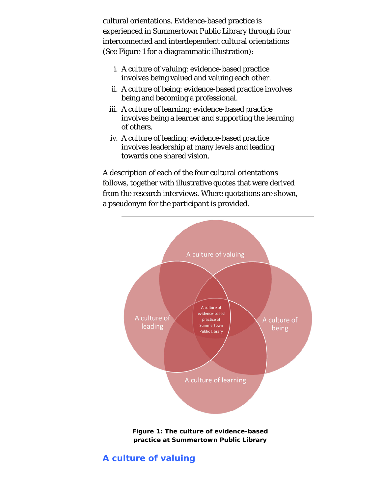cultural orientations. Evidence-based practice is experienced in Summertown Public Library through four interconnected and interdependent cultural orientations (See Figure 1 for a diagrammatic illustration):

- i. A culture of valuing: evidence-based practice involves being valued and valuing each other.
- ii. A culture of being: evidence-based practice involves being and becoming a professional.
- iii. A culture of learning: evidence-based practice involves being a learner and supporting the learning of others.
- iv. A culture of leading: evidence-based practice involves leadership at many levels and leading towards one shared vision.

A description of each of the four cultural orientations follows, together with illustrative quotes that were derived from the research interviews. Where quotations are shown, a pseudonym for the participant is provided.



**Figure 1: The culture of evidence-based practice at Summertown Public Library**

# **A culture of valuing**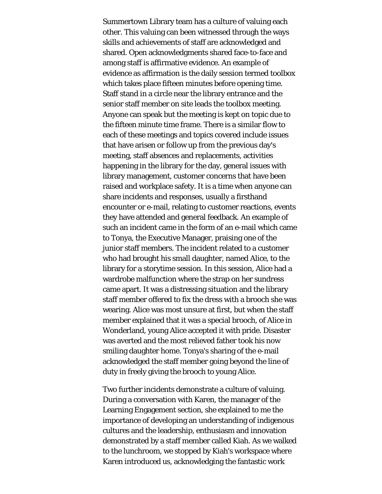Summertown Library team has a culture of valuing each other. This valuing can been witnessed through the ways skills and achievements of staff are acknowledged and shared. Open acknowledgments shared face-to-face and among staff is affirmative evidence. An example of evidence as affirmation is the daily session termed toolbox which takes place fifteen minutes before opening time. Staff stand in a circle near the library entrance and the senior staff member on site leads the toolbox meeting. Anyone can speak but the meeting is kept on topic due to the fifteen minute time frame. There is a similar flow to each of these meetings and topics covered include issues that have arisen or follow up from the previous day's meeting, staff absences and replacements, activities happening in the library for the day, general issues with library management, customer concerns that have been raised and workplace safety. It is a time when anyone can share incidents and responses, usually a firsthand encounter or e-mail, relating to customer reactions, events they have attended and general feedback. An example of such an incident came in the form of an e-mail which came to Tonya, the Executive Manager, praising one of the junior staff members. The incident related to a customer who had brought his small daughter, named Alice, to the library for a storytime session. In this session, Alice had a wardrobe malfunction where the strap on her sundress came apart. It was a distressing situation and the library staff member offered to fix the dress with a brooch she was wearing. Alice was most unsure at first, but when the staff member explained that it was a special brooch, of Alice in Wonderland, young Alice accepted it with pride. Disaster was averted and the most relieved father took his now smiling daughter home. Tonya's sharing of the e-mail acknowledged the staff member going beyond the line of duty in freely giving the brooch to young Alice.

Two further incidents demonstrate a culture of valuing. During a conversation with Karen, the manager of the Learning Engagement section, she explained to me the importance of developing an understanding of indigenous cultures and the leadership, enthusiasm and innovation demonstrated by a staff member called Kiah. As we walked to the lunchroom, we stopped by Kiah's workspace where Karen introduced us, acknowledging the fantastic work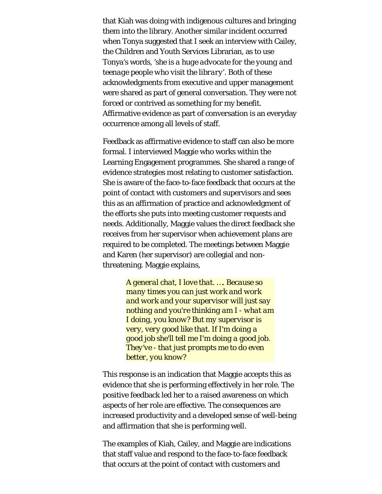that Kiah was doing with indigenous cultures and bringing them into the library. Another similar incident occurred when Tonya suggested that I seek an interview with Cailey, the Children and Youth Services Librarian, as to use Tonya's words, '*she is a huge advocate for the young and teenage people who visit the library*'. Both of these acknowledgments from executive and upper management were shared as part of general conversation. They were not forced or contrived as something for my benefit. Affirmative evidence as part of conversation is an everyday occurrence among all levels of staff.

Feedback as affirmative evidence to staff can also be more formal. I interviewed Maggie who works within the Learning Engagement programmes. She shared a range of evidence strategies most relating to customer satisfaction. She is aware of the face-to-face feedback that occurs at the point of contact with customers and supervisors and sees this as an affirmation of practice and acknowledgment of the efforts she puts into meeting customer requests and needs. Additionally, Maggie values the direct feedback she receives from her supervisor when achievement plans are required to be completed. The meetings between Maggie and Karen (her supervisor) are collegial and nonthreatening. Maggie explains,

> *A general chat, I love that. …. Because so many times you can just work and work and work and your supervisor will just say nothing and you're thinking am I - what am I doing, you know? But my supervisor is very, very good like that. If I'm doing a good job she'll tell me I'm doing a good job. They've - that just prompts me to do even better, you know?*

This response is an indication that Maggie accepts this as evidence that she is performing effectively in her role. The positive feedback led her to a raised awareness on which aspects of her role are effective. The consequences are increased productivity and a developed sense of well-being and affirmation that she is performing well.

The examples of Kiah, Cailey, and Maggie are indications that staff value and respond to the face-to-face feedback that occurs at the point of contact with customers and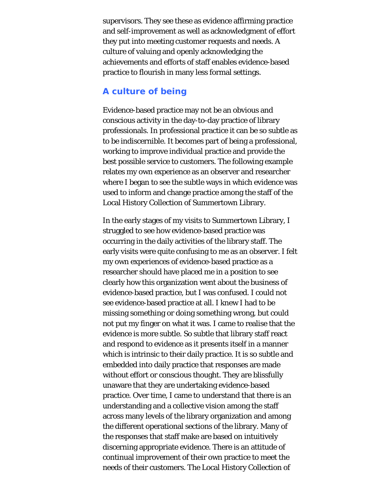supervisors. They see these as evidence affirming practice and self-improvement as well as acknowledgment of effort they put into meeting customer requests and needs. A culture of valuing and openly acknowledging the achievements and efforts of staff enables evidence-based practice to flourish in many less formal settings.

#### **A culture of being**

Evidence-based practice may not be an obvious and conscious activity in the day-to-day practice of library professionals. In professional practice it can be so subtle as to be indiscernible. It becomes part of being a professional, working to improve individual practice and provide the best possible service to customers. The following example relates my own experience as an observer and researcher where I began to see the subtle ways in which evidence was used to inform and change practice among the staff of the Local History Collection of Summertown Library.

In the early stages of my visits to Summertown Library, I struggled to see how evidence-based practice was occurring in the daily activities of the library staff. The early visits were quite confusing to me as an observer. I felt my own experiences of evidence-based practice as a researcher should have placed me in a position to see clearly how this organization went about the business of evidence-based practice, but I was confused. I could not see evidence-based practice at all. I knew I had to be missing something or doing something wrong, but could not put my finger on what it was. I came to realise that the evidence is more subtle. So subtle that library staff react and respond to evidence as it presents itself in a manner which is intrinsic to their daily practice. It is so subtle and embedded into daily practice that responses are made without effort or conscious thought. They are blissfully unaware that they are undertaking evidence-based practice. Over time, I came to understand that there is an understanding and a collective vision among the staff across many levels of the library organization and among the different operational sections of the library. Many of the responses that staff make are based on intuitively discerning appropriate evidence. There is an attitude of continual improvement of their own practice to meet the needs of their customers. The Local History Collection of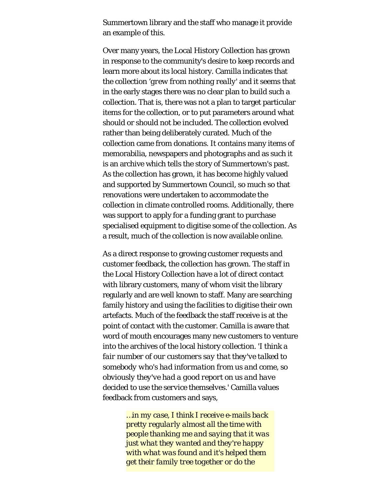Summertown library and the staff who manage it provide an example of this.

Over many years, the Local History Collection has grown in response to the community's desire to keep records and learn more about its local history. Camilla indicates that the collection '*grew from nothing really*' and it seems that in the early stages there was no clear plan to build such a collection. That is, there was not a plan to target particular items for the collection, or to put parameters around what should or should not be included. The collection evolved rather than being deliberately curated. Much of the collection came from donations. It contains many items of memorabilia, newspapers and photographs and as such it is an archive which tells the story of Summertown's past. As the collection has grown, it has become highly valued and supported by Summertown Council, so much so that renovations were undertaken to accommodate the collection in climate controlled rooms. Additionally, there was support to apply for a funding grant to purchase specialised equipment to digitise some of the collection. As a result, much of the collection is now available online.

As a direct response to growing customer requests and customer feedback, the collection has grown. The staff in the Local History Collection have a lot of direct contact with library customers, many of whom visit the library regularly and are well known to staff. Many are searching family history and using the facilities to digitise their own artefacts. Much of the feedback the staff receive is at the point of contact with the customer. Camilla is aware that word of mouth encourages many new customers to venture into the archives of the local history collection. '*I think a fair number of our customers say that they've talked to somebody who's had information from us and come, so obviously they've had a good report on us and have decided to use the service themselves.*' Camilla values feedback from customers and says,

> *…in my case, I think I receive e-mails back pretty regularly almost all the time with people thanking me and saying that it was just what they wanted and they're happy with what was found and it's helped them get their family tree together or do the*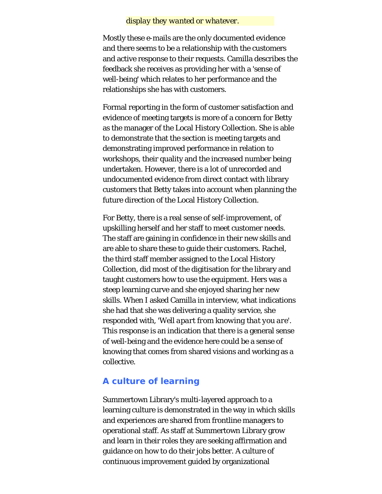#### *display they wanted or whatever.*

Mostly these e-mails are the only documented evidence and there seems to be a relationship with the customers and active response to their requests. Camilla describes the feedback she receives as providing her with a 'sense of well-being' which relates to her performance and the relationships she has with customers.

Formal reporting in the form of customer satisfaction and evidence of meeting targets is more of a concern for Betty as the manager of the Local History Collection. She is able to demonstrate that the section is meeting targets and demonstrating improved performance in relation to workshops, their quality and the increased number being undertaken. However, there is a lot of unrecorded and undocumented evidence from direct contact with library customers that Betty takes into account when planning the future direction of the Local History Collection.

For Betty, there is a real sense of self-improvement, of upskilling herself and her staff to meet customer needs. The staff are gaining in confidence in their new skills and are able to share these to guide their customers. Rachel, the third staff member assigned to the Local History Collection, did most of the digitisation for the library and taught customers how to use the equipment. Hers was a steep learning curve and she enjoyed sharing her new skills. When I asked Camilla in interview, what indications she had that she was delivering a quality service, she responded with, '*Well apart from knowing that you are*'. This response is an indication that there is a general sense of well-being and the evidence here could be a sense of knowing that comes from shared visions and working as a collective.

#### **A culture of learning**

Summertown Library's multi-layered approach to a learning culture is demonstrated in the way in which skills and experiences are shared from frontline managers to operational staff. As staff at Summertown Library grow and learn in their roles they are seeking affirmation and guidance on how to do their jobs better. A culture of continuous improvement guided by organizational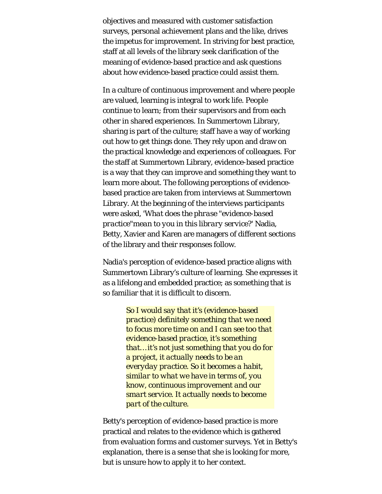objectives and measured with customer satisfaction surveys, personal achievement plans and the like, drives the impetus for improvement. In striving for best practice, staff at all levels of the library seek clarification of the meaning of evidence-based practice and ask questions about how evidence-based practice could assist them.

In a culture of continuous improvement and where people are valued, learning is integral to work life. People continue to learn; from their supervisors and from each other in shared experiences. In Summertown Library, sharing is part of the culture; staff have a way of working out how to get things done. They rely upon and draw on the practical knowledge and experiences of colleagues. For the staff at Summertown Library, evidence-based practice is a way that they can improve and something they want to learn more about. The following perceptions of evidencebased practice are taken from interviews at Summertown Library. At the beginning of the interviews participants were asked, '*What does the phrase "evidence-based practice"mean to you in this library service?*' Nadia, Betty, Xavier and Karen are managers of different sections of the library and their responses follow.

Nadia's perception of evidence-based practice aligns with Summertown Library's culture of learning. She expresses it as a lifelong and embedded practice; as something that is so familiar that it is difficult to discern.

> *So I would say that it's (evidence-based practice) definitely something that we need to focus more time on and I can see too that evidence-based practice, it's something that… it's not just something that you do for a project, it actually needs to be an everyday practice. So it becomes a habit, similar to what we have in terms of, you know, continuous improvement and our smart service. It actually needs to become part of the culture.*

Betty's perception of evidence-based practice is more practical and relates to the evidence which is gathered from evaluation forms and customer surveys. Yet in Betty's explanation, there is a sense that she is looking for more, but is unsure how to apply it to her context.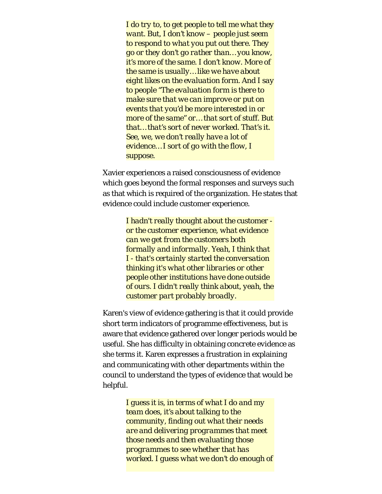*I do try to, to get people to tell me what they want. But, I don't know – people just seem to respond to what you put out there. They go or they don't go rather than… you know, it's more of the same. I don't know. More of the same is usually… like we have about eight likes on the evaluation form. And I say to people "The evaluation form is there to make sure that we can improve or put on events that you'd be more interested in or more of the same" or… that sort of stuff. But that… that's sort of never worked. That's it. See, we, we don't really have a lot of evidence… I sort of go with the flow, I suppose.*

Xavier experiences a raised consciousness of evidence which goes beyond the formal responses and surveys such as that which is required of the organization. He states that evidence could include customer experience.

> *I hadn't really thought about the customer or the customer experience, what evidence can we get from the customers both formally and informally. Yeah, I think that I - that's certainly started the conversation thinking it's what other libraries or other people other institutions have done outside of ours. I didn't really think about, yeah, the customer part probably broadly.*

Karen's view of evidence gathering is that it could provide short term indicators of programme effectiveness, but is aware that evidence gathered over longer periods would be useful. She has difficulty in obtaining *concrete evidence* as she terms it. Karen expresses a frustration in explaining and communicating with other departments within the council to understand the types of evidence that would be helpful.

> *I guess it is, in terms of what I do and my team does, it's about talking to the community, finding out what their needs are and delivering programmes that meet those needs and then evaluating those programmes to see whether that has worked. I guess what we don't do enough of*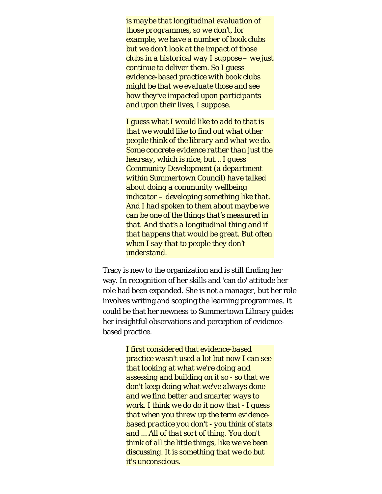*is maybe that longitudinal evaluation of those programmes, so we don't, for example, we have a number of book clubs but we don't look at the impact of those clubs in a historical way I suppose – we just continue to deliver them. So I guess evidence-based practice with book clubs might be that we evaluate those and see how they've impacted upon participants and upon their lives, I suppose.*

*I guess what I would like to add to that is that we would like to find out what other people think of the library and what we do. Some concrete evidence rather than just the hearsay, which is nice, but… I guess Community Development (a department within Summertown Council) have talked about doing a community wellbeing indicator – developing something like that. And I had spoken to them about maybe we can be one of the things that's measured in that. And that's a longitudinal thing and if that happens that would be great. But often when I say that to people they don't understand.*

Tracy is new to the organization and is still finding her way. In recognition of her skills and 'can do' attitude her role had been expanded. She is not a manager, but her role involves writing and scoping the learning programmes. It could be that her newness to Summertown Library guides her insightful observations and perception of evidencebased practice.

> *I first considered that evidence-based practice wasn't used a lot but now I can see that looking at what we're doing and assessing and building on it so - so that we don't keep doing what we've always done and we find better and smarter ways to work. I think we do do it now that - I guess that when you threw up the term evidencebased practice you don't - you think of stats and ... All of that sort of thing. You don't think of all the little things, like we've been discussing. It is something that we do but it's unconscious.*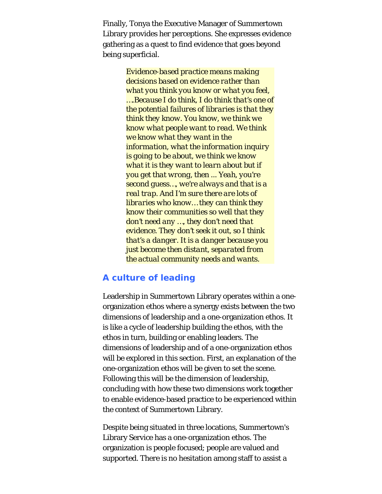Finally, Tonya the Executive Manager of Summertown Library provides her perceptions. She expresses evidence gathering as a quest to find evidence that goes beyond being superficial.

> *Evidence-based practice means making decisions based on evidence rather than what you think you know or what you feel, ….Because I do think, I do think that's one of the potential failures of libraries is that they think they know. You know, we think we know what people want to read. We think we know what they want in the information, what the information inquiry is going to be about, we think we know what it is they want to learn about but if you get that wrong, then ... Yeah, you're second guess…, we're always and that is a real trap. And I'm sure there are lots of libraries who know… they can think they know their communities so well that they don't need any …, they don't need that evidence. They don't seek it out, so I think that's a danger. It is a danger because you just become then distant, separated from the actual community needs and wants.*

# **A culture of leading**

Leadership in Summertown Library operates within a oneorganization ethos where a synergy exists between the two dimensions of leadership and a one-organization ethos. It is like a cycle of leadership building the ethos, with the ethos in turn, building or enabling leaders. The dimensions of leadership and of a one-organization ethos will be explored in this section. First, an explanation of the one-organization ethos will be given to set the scene. Following this will be the dimension of leadership, concluding with how these two dimensions work together to enable evidence-based practice to be experienced within the context of Summertown Library.

Despite being situated in three locations, Summertown's Library Service has a one-organization ethos. The organization is people focused; people are valued and supported. There is no hesitation among staff to assist a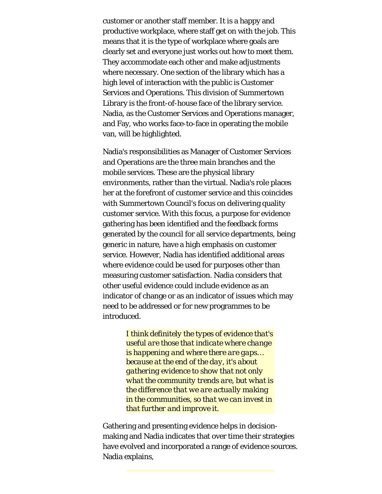customer or another staff member. It is a happy and productive workplace, where staff get on with the job. This means that it is the type of workplace where goals are clearly set and everyone just works out how to meet them. They accommodate each other and make adjustments where necessary. One section of the library which has a high level of interaction with the public is Customer Services and Operations. This division of Summertown Library is the front-of-house face of the library service. Nadia, as the Customer Services and Operations manager, and Fay, who works face-to-face in operating the mobile van, will be highlighted.

Nadia's responsibilities as Manager of Customer Services and Operations are the three main branches and the mobile services. These are the physical library environments, rather than the virtual. Nadia's role places her at the forefront of customer service and this coincides with Summertown Council's focus on delivering quality customer service. With this focus, a purpose for evidence gathering has been identified and the feedback forms generated by the council for all service departments, being generic in nature, have a high emphasis on customer service. However, Nadia has identified additional areas where evidence could be used for purposes other than measuring customer satisfaction. Nadia considers that other useful evidence could include evidence as an indicator of change or as an indicator of issues which may need to be addressed or for new programmes to be introduced.

> *I think definitely the types of evidence that's useful are those that indicate where change is happening and where there are gaps… because at the end of the day, it's about gathering evidence to show that not only what the community trends are, but what is the difference that we are actually making in the communities, so that we can invest in that further and improve it.*

Gathering and presenting evidence helps in decisionmaking and Nadia indicates that over time their strategies have evolved and incorporated a range of evidence sources. Nadia explains,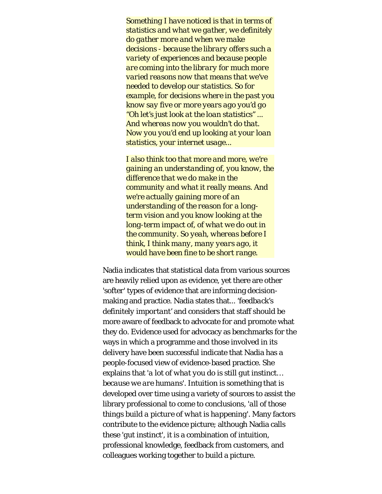*Something I have noticed is that in terms of statistics and what we gather, we definitely do gather more and when we make decisions - because the library offers such a variety of experiences and because people are coming into the library for much more varied reasons now that means that we've needed to develop our statistics. So for example, for decisions where in the past you know say five or more years ago you'd go "Oh let's just look at the loan statistics" ... And whereas now you wouldn't do that. Now you you'd end up looking at your loan statistics, your internet usage...*

*I also think too that more and more, we're gaining an understanding of, you know, the difference that we do make in the community and what it really means. And we're actually gaining more of an understanding of the reason for a longterm vision and you know looking at the long-term impact of, of what we do out in the community. So yeah, whereas before I think, I think many, many years ago, it would have been fine to be short range.*

Nadia indicates that statistical data from various sources are heavily relied upon as evidence, yet there are other '*softer*' types of evidence that are informing decisionmaking and practice. Nadia states that... '*feedback's definitely important'* and considers that staff should be more aware of feedback to advocate for and promote what they do. Evidence used for advocacy as benchmarks for the ways in which a programme and those involved in its delivery have been successful indicate that Nadia has a people-focused view of evidence-based practice. She explains that '*a lot of what you do is still gut instinct… because we are humans*'. Intuition is something that is developed over time using a variety of sources to assist the library professional to come to conclusions, '*all of those things build a picture of what is happening*'. Many factors contribute to the evidence picture; although Nadia calls these '*gut instinct*', it is a combination of intuition, professional knowledge, feedback from customers, and colleagues working together to build a picture.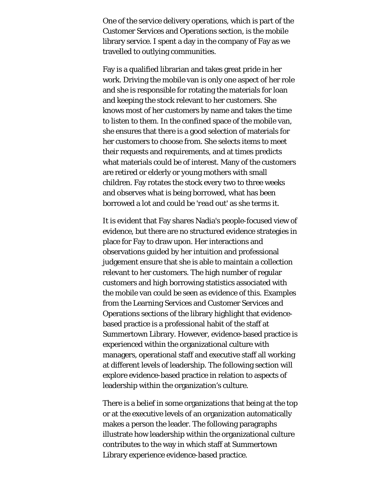One of the service delivery operations, which is part of the Customer Services and Operations section, is the mobile library service. I spent a day in the company of Fay as we travelled to outlying communities.

Fay is a qualified librarian and takes great pride in her work. Driving the mobile van is only one aspect of her role and she is responsible for rotating the materials for loan and keeping the stock relevant to her customers. She knows most of her customers by name and takes the time to listen to them. In the confined space of the mobile van, she ensures that there is a good selection of materials for her customers to choose from. She selects items to meet their requests and requirements, and at times predicts what materials could be of interest. Many of the customers are retired or elderly or young mothers with small children. Fay rotates the stock every two to three weeks and observes what is being borrowed, what has been borrowed a lot and could be '*read out*' as she terms it.

It is evident that Fay shares Nadia's people-focused view of evidence, but there are no structured evidence strategies in place for Fay to draw upon. Her interactions and observations guided by her intuition and professional judgement ensure that she is able to maintain a collection relevant to her customers. The high number of regular customers and high borrowing statistics associated with the mobile van could be seen as evidence of this. Examples from the Learning Services and Customer Services and Operations sections of the library highlight that evidencebased practice is a professional habit of the staff at Summertown Library. However, evidence-based practice is experienced within the organizational culture with managers, operational staff and executive staff all working at different levels of leadership. The following section will explore evidence-based practice in relation to aspects of leadership within the organization's culture.

There is a belief in some organizations that being at the top or at the executive levels of an organization automatically makes a person the leader. The following paragraphs illustrate how leadership within the organizational culture contributes to the way in which staff at Summertown Library experience evidence-based practice.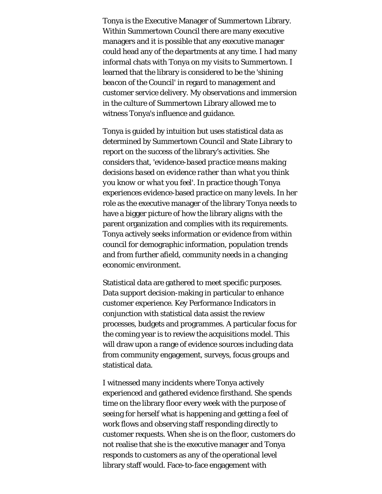Tonya is the Executive Manager of Summertown Library. Within Summertown Council there are many executive managers and it is possible that any executive manager could head any of the departments at any time. I had many informal chats with Tonya on my visits to Summertown. I learned that the library is considered to be the '*shining beacon of the Council*' in regard to management and customer service delivery. My observations and immersion in the culture of Summertown Library allowed me to witness Tonya's influence and guidance.

Tonya is guided by intuition but uses statistical data as determined by Summertown Council and State Library to report on the success of the library's activities. She considers that, '*evidence-based practice means making decisions based on evidence rather than what you think you know or what you feel*'. In practice though Tonya experiences evidence-based practice on many levels. In her role as the executive manager of the library Tonya needs to have a bigger picture of how the library aligns with the parent organization and complies with its requirements. Tonya actively seeks information or evidence from within council for demographic information, population trends and from further afield, community needs in a changing economic environment.

Statistical data are gathered to meet specific purposes. Data support decision-making in particular to enhance customer experience. Key Performance Indicators in conjunction with statistical data assist the review processes, budgets and programmes. A particular focus for the coming year is to review the acquisitions model. This will draw upon a range of evidence sources including data from community engagement, surveys, focus groups and statistical data.

I witnessed many incidents where Tonya actively experienced and gathered evidence firsthand. She spends time on the library floor every week with the purpose of seeing for herself what is happening and getting a feel of work flows and observing staff responding directly to customer requests. When she is on the floor, customers do not realise that she is the executive manager and Tonya responds to customers as any of the operational level library staff would. Face-to-face engagement with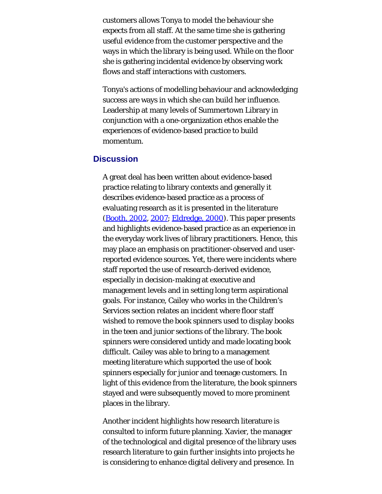customers allows Tonya to model the behaviour she expects from all staff. At the same time she is gathering useful evidence from the customer perspective and the ways in which the library is being used. While on the floor she is gathering incidental evidence by observing work flows and staff interactions with customers.

Tonya's actions of modelling behaviour and acknowledging success are ways in which she can build her influence. Leadership at many levels of Summertown Library in conjunction with a one-organization ethos enable the experiences of evidence-based practice to build momentum.

#### **Discussion**

A great deal has been written about evidence-based practice relating to library contexts and generally it describes evidence-based practice as a process of evaluating research as it is presented in the literature ([Booth, 2002](#page-34-0), [2007](#page-34-0); [Eldredge, 2000](#page-34-0)). This paper presents and highlights evidence-based practice as an experience in the everyday work lives of library practitioners. Hence, this may place an emphasis on practitioner-observed and userreported evidence sources. Yet, there were incidents where staff reported the use of research-derived evidence, especially in decision-making at executive and management levels and in setting long term aspirational goals. For instance, Cailey who works in the Children's Services section relates an incident where floor staff wished to remove the book spinners used to display books in the teen and junior sections of the library. The book spinners were considered untidy and made locating book difficult. Cailey was able to bring to a management meeting literature which supported the use of book spinners especially for junior and teenage customers. In light of this evidence from the literature, the book spinners stayed and were subsequently moved to more prominent places in the library.

Another incident highlights how research literature is consulted to inform future planning. Xavier, the manager of the technological and digital presence of the library uses research literature to gain further insights into projects he is considering to enhance digital delivery and presence. In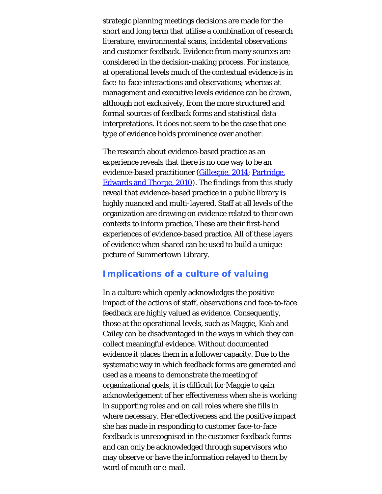strategic planning meetings decisions are made for the short and long term that utilise a combination of research literature, environmental scans, incidental observations and customer feedback. Evidence from many sources are considered in the decision-making process. For instance, at operational levels much of the contextual evidence is in face-to-face interactions and observations; whereas at management and executive levels evidence can be drawn, although not exclusively, from the more structured and formal sources of feedback forms and statistical data interpretations. It does not seem to be the case that one type of evidence holds prominence over another.

The research about evidence-based practice as an experience reveals that there is no one way to be an evidence-based practitioner [\(Gillespie, 2014](#page-34-0); [Partridge,](#page-34-0) [Edwards and Thorpe, 2010](#page-34-0)). The findings from this study reveal that evidence-based practice in a public library is highly nuanced and multi-layered. Staff at all levels of the organization are drawing on evidence related to their own contexts to inform practice. These are their first-hand experiences of evidence-based practice. All of these layers of evidence when shared can be used to build a unique picture of Summertown Library.

# **Implications of a culture of valuing**

In a culture which openly acknowledges the positive impact of the actions of staff, observations and face-to-face feedback are highly valued as evidence. Consequently, those at the operational levels, such as Maggie, Kiah and Cailey can be disadvantaged in the ways in which they can collect meaningful evidence. Without documented evidence it places them in a follower capacity. Due to the systematic way in which feedback forms are generated and used as a means to demonstrate the meeting of organizational goals, it is difficult for Maggie to gain acknowledgement of her effectiveness when she is working in supporting roles and on call roles where she fills in where necessary. Her effectiveness and the positive impact she has made in responding to customer face-to-face feedback is unrecognised in the customer feedback forms and can only be acknowledged through supervisors who may observe or have the information relayed to them by word of mouth or e-mail.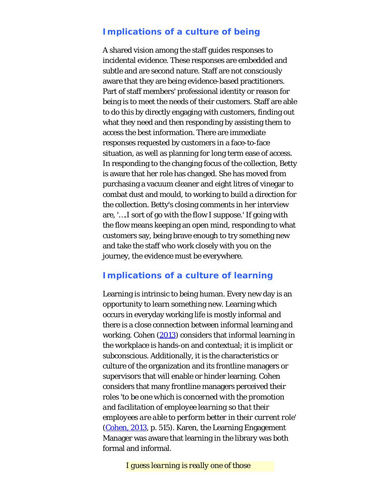# **Implications of a culture of being**

A shared vision among the staff guides responses to incidental evidence. These responses are embedded and subtle and are second nature. Staff are not consciously aware that they are being evidence-based practitioners. Part of staff members' professional identity or reason for being is to meet the needs of their customers. Staff are able to do this by directly engaging with customers, finding out what they need and then responding by assisting them to access the best information. There are immediate responses requested by customers in a face-to-face situation, as well as planning for long term ease of access. In responding to the changing focus of the collection, Betty is aware that her role has changed. She has moved from purchasing a vacuum cleaner and eight litres of vinegar to combat dust and mould, to working to build a direction for the collection. Betty's closing comments in her interview are, '….I sort of go with the flow I suppose.' If going with the flow means keeping an open mind, responding to what customers say, being brave enough to try something new and take the staff who work closely with you on the journey, the evidence must be everywhere.

# **Implications of a culture of learning**

Learning is intrinsic to being human. Every new day is an opportunity to learn something new. Learning which occurs in everyday working life is mostly informal and there is a close connection between informal learning and working. Cohen [\(2013](#page-34-0)) considers that informal learning in the workplace is hands-on and contextual; it is implicit or subconscious. Additionally, it is the characteristics or culture of the organization and its frontline managers or supervisors that will enable or hinder learning. Cohen considers that many frontline managers perceived their roles '*to be one which is concerned with the promotion and facilitation of employee learning so that their employees are able to perform better in their current role*' ([Cohen, 2013](#page-34-0), p. 515). Karen, the Learning Engagement Manager was aware that learning in the library was both formal and informal.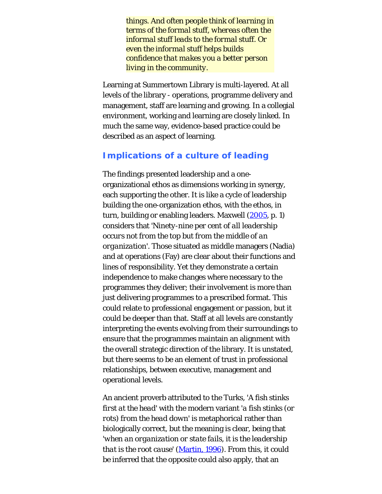*things. And often people think of learning in terms of the formal stuff, whereas often the informal stuff leads to the formal stuff. Or even the informal stuff helps builds confidence that makes you a better person living in the community.*

Learning at Summertown Library is multi-layered. At all levels of the library - operations, programme delivery and management, staff are learning and growing. In a collegial environment, working and learning are closely linked. In much the same way, evidence-based practice could be described as an aspect of learning.

#### **Implications of a culture of leading**

The findings presented leadership and a oneorganizational ethos as dimensions working in synergy, each supporting the other. It is like a cycle of leadership building the one-organization ethos, with the ethos, in turn, building or enabling leaders. Maxwell [\(2005,](#page-34-0) p. 1) considers that '*Ninety-nine per cent of all leadership occurs not from the top but from the middle of an organization*'. Those situated as middle managers (Nadia) and at operations (Fay) are clear about their functions and lines of responsibility. Yet they demonstrate a certain independence to make changes where necessary to the programmes they deliver; their involvement is more than just delivering programmes to a prescribed format. This could relate to professional engagement or passion, but it could be deeper than that. Staff at all levels are constantly interpreting the events evolving from their surroundings to ensure that the programmes maintain an alignment with the overall strategic direction of the library. It is unstated, but there seems to be an element of trust in professional relationships, between executive, management and operational levels.

An ancient proverb attributed to the Turks, '*A fish stinks first at the head*' with the modern variant '*a fish stinks (or rots) from the head down*' is metaphorical rather than biologically correct, but the meaning is clear, being that '*when an organization or state fails, it is the leadership that is the root cause*' [\(Martin, 1996](#page-34-0)). From this, it could be inferred that the opposite could also apply, that an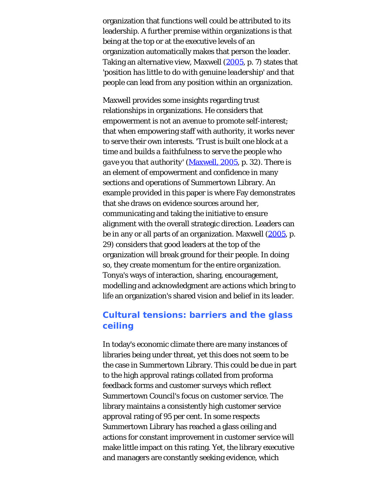organization that functions well could be attributed to its leadership. A further premise within organizations is that being at the top or at the executive levels of an organization automatically makes that person the leader. Taking an alternative view, Maxwell [\(2005,](#page-34-0) p. 7) states that '*position has little to do with genuine leadership*' and that people can lead from any position within an organization.

Maxwell provides some insights regarding trust relationships in organizations. He considers that empowerment is not an avenue to promote self-interest; that when empowering staff with authority, it works never to serve their own interests. '*Trust is built one block at a time and builds a faithfulness to serve the people who gave you that authority*' [\(Maxwell, 2005](#page-34-0), p. 32). There is an element of empowerment and confidence in many sections and operations of Summertown Library. An example provided in this paper is where Fay demonstrates that she draws on evidence sources around her, communicating and taking the initiative to ensure alignment with the overall strategic direction. Leaders can be in any or all parts of an organization. Maxwell [\(2005](#page-34-0), p. 29) considers that good leaders at the top of the organization will break ground for their people. In doing so, they create momentum for the entire organization. Tonya's ways of interaction, sharing, encouragement, modelling and acknowledgment are actions which bring to life an organization's shared vision and belief in its leader.

# **Cultural tensions: barriers and the glass ceiling**

In today's economic climate there are many instances of libraries being under threat, yet this does not seem to be the case in Summertown Library. This could be due in part to the high approval ratings collated from proforma feedback forms and customer surveys which reflect Summertown Council's focus on customer service. The library maintains a consistently high customer service approval rating of 95 per cent. In some respects Summertown Library has reached a glass ceiling and actions for constant improvement in customer service will make little impact on this rating. Yet, the library executive and managers are constantly seeking evidence, which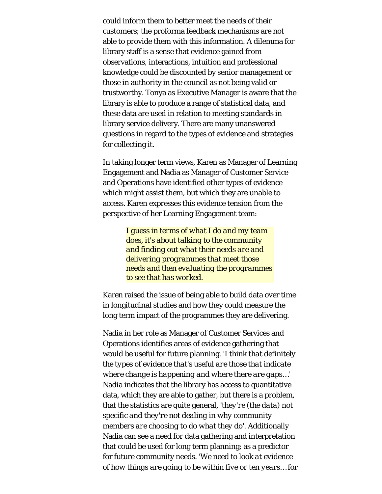could inform them to better meet the needs of their customers; the proforma feedback mechanisms are not able to provide them with this information. A dilemma for library staff is a sense that evidence gained from observations, interactions, intuition and professional knowledge could be discounted by senior management or those in authority in the council as not being valid or trustworthy. Tonya as Executive Manager is aware that the library is able to produce a range of statistical data, and these data are used in relation to meeting standards in library service delivery. There are many unanswered questions in regard to the types of evidence and strategies for collecting it.

In taking longer term views, Karen as Manager of Learning Engagement and Nadia as Manager of Customer Service and Operations have identified other types of evidence which might assist them, but which they are unable to access. Karen expresses this evidence tension from the perspective of her Learning Engagement team:

> *I guess in terms of what I do and my team does, it's about talking to the community and finding out what their needs are and delivering programmes that meet those needs and then evaluating the programmes to see that has worked.*

Karen raised the issue of being able to build data over time in longitudinal studies and how they could measure the long term impact of the programmes they are delivering.

Nadia in her role as Manager of Customer Services and Operations identifies areas of evidence gathering that would be useful for future planning. '*I think that definitely the types of evidence that's useful are those that indicate where change is happening and where there are gaps…*' Nadia indicates that the library has access to quantitative data, which they are able to gather, but there is a problem, that the statistics are quite general, '*they're (the data) not specific and they're not dealing in why community members are choosing to do what they do*'. Additionally Nadia can see a need for data gathering and interpretation that could be used for long term planning; as a predictor for future community needs. '*We need to look at evidence of how things are going to be within five or ten years… for*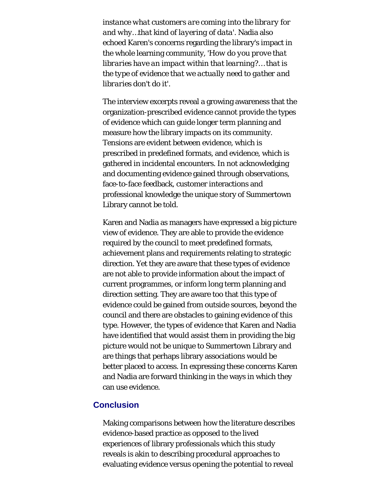*instance what customers are coming into the library for and why…that kind of layering of data*'. Nadia also echoed Karen's concerns regarding the library's impact in the whole learning community, '*How do you prove that libraries have an impact within that learning?… that is the type of evidence that we actually need to gather and libraries don't do it*'.

The interview excerpts reveal a growing awareness that the organization-prescribed evidence cannot provide the types of evidence which can guide longer term planning and measure how the library impacts on its community. Tensions are evident between evidence, which is prescribed in predefined formats, and evidence, which is gathered in incidental encounters. In not acknowledging and documenting evidence gained through observations, face-to-face feedback, customer interactions and professional knowledge the unique story of Summertown Library cannot be told.

Karen and Nadia as managers have expressed a big picture view of evidence. They are able to provide the evidence required by the council to meet predefined formats, achievement plans and requirements relating to strategic direction. Yet they are aware that these types of evidence are not able to provide information about the impact of current programmes, or inform long term planning and direction setting. They are aware too that this type of evidence could be gained from outside sources, beyond the council and there are obstacles to gaining evidence of this type. However, the types of evidence that Karen and Nadia have identified that would assist them in providing the big picture would not be unique to Summertown Library and are things that perhaps library associations would be better placed to access. In expressing these concerns Karen and Nadia are forward thinking in the ways in which they can use evidence.

#### **Conclusion**

Making comparisons between how the literature describes evidence-based practice as opposed to the lived experiences of library professionals which this study reveals is akin to describing procedural approaches to evaluating evidence versus opening the potential to reveal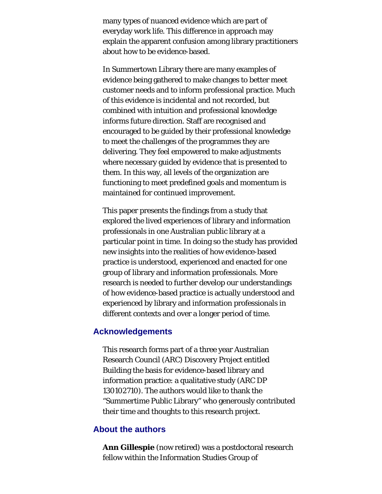many types of nuanced evidence which are part of everyday work life. This difference in approach may explain the apparent confusion among library practitioners about how to be evidence-based.

In Summertown Library there are many examples of evidence being gathered to make changes to better meet customer needs and to inform professional practice. Much of this evidence is incidental and not recorded, but combined with intuition and professional knowledge informs future direction. Staff are recognised and encouraged to be guided by their professional knowledge to meet the challenges of the programmes they are delivering. They feel empowered to make adjustments where necessary guided by evidence that is presented to them. In this way, all levels of the organization are functioning to meet predefined goals and momentum is maintained for continued improvement.

This paper presents the findings from a study that explored the lived experiences of library and information professionals in one Australian public library at a particular point in time. In doing so the study has provided new insights into the realities of how evidence-based practice is understood, experienced and enacted for one group of library and information professionals. More research is needed to further develop our understandings of how evidence-based practice is actually understood and experienced by library and information professionals in different contexts and over a longer period of time.

#### **Acknowledgements**

This research forms part of a three year Australian Research Council (ARC) Discovery Project entitled Building the basis for evidence-based library and information practice: a qualitative study (ARC DP 130102710). The authors would like to thank the "Summertime Public Library" who generously contributed their time and thoughts to this research project.

#### <span id="page-30-0"></span>**About the authors**

**Ann Gillespie** (now retired) was a postdoctoral research fellow within the Information Studies Group of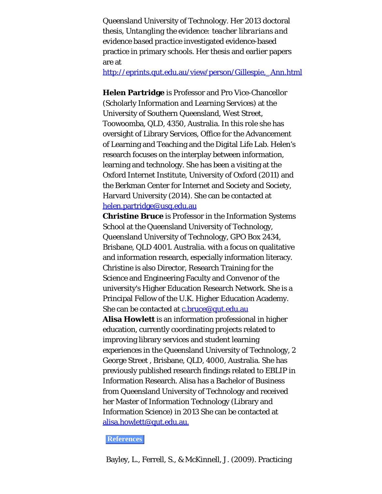Queensland University of Technology. Her 2013 doctoral thesis, *Untangling the evidence: teacher librarians and evidence based practice* investigated evidence-based practice in primary schools. Her thesis and earlier papers are at

[http://eprints.qut.edu.au/view/person/Gillespie,\\_Ann.html](http://eprints.qut.edu.au/view/person/Gillespie,_Ann.htm)

**Helen Partridge** is Professor and Pro Vice-Chancellor (Scholarly Information and Learning Services) at the University of Southern Queensland, West Street, Toowoomba, QLD, 4350, Australia. In this role she has oversight of Library Services, Office for the Advancement of Learning and Teaching and the Digital Life Lab. Helen's research focuses on the interplay between information, learning and technology. She has been a visiting at the Oxford Internet Institute, University of Oxford (2011) and the Berkman Center for Internet and Society and Society, Harvard University (2014). She can be contacted at [helen.partridge@usq.edu.au](mailto:helen.partridge@usq.edu.au)

**Christine Bruce** is Professor in the Information Systems School at the Queensland University of Technology, Queensland University of Technology, GPO Box 2434, Brisbane, QLD 4001. Australia. with a focus on qualitative and information research, especially information literacy. Christine is also Director, Research Training for the Science and Engineering Faculty and Convenor of the university's Higher Education Research Network. She is a Principal Fellow of the U.K. Higher Education Academy. She can be contacted at [c.bruce@qut.edu.au](mailto:c.bruce@qut.edu.au)

**Alisa Howlett** is an information professional in higher education, currently coordinating projects related to improving library services and student learning experiences in the Queensland University of Technology, 2 George Street , Brisbane, QLD, 4000, Australia. She has previously published research findings related to EBLIP in Information Research. Alisa has a Bachelor of Business from Queensland University of Technology and received her Master of Information Technology (Library and Information Science) in 2013 She can be contacted at [alisa.howlett@qut.edu.au.](mailto:a.howlett@qut.edu.au)

#### **References**

Bayley, L., Ferrell, S., & McKinnell, J. (2009). Practicing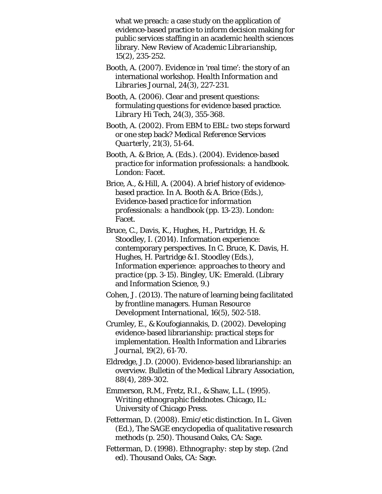what we preach: a case study on the application of evidence-based practice to inform decision making for public services staffing in an academic health sciences library. *New Review of Academic Librarianship, 15*(2), 235-252.

Booth, A. (2007). Evidence in 'real time': the story of an international workshop. *Health Information and Libraries Journal, 24*(3), 227-231.

Booth, A. (2006). Clear and present questions: formulating questions for evidence based practice. *Library Hi Tech, 24*(3), 355-368.

Booth, A. (2002). From EBM to EBL: two steps forward or one step back? *Medical Reference Services Quarterly, 21*(3), 51-64.

Booth, A. & Brice, A. (Eds.). (2004). *Evidence-based practice for information professionals: a handbook.* London: Facet.

Brice, A., & Hill, A. (2004). A brief history of evidencebased practice. In A. Booth & A. Brice (Eds.), *Evidence-based practice for information professionals: a handbook* (pp. 13-23). London: Facet.

Bruce, C., Davis, K., Hughes, H., Partridge, H. & Stoodley, I. (2014). Information experience: contemporary perspectives. In C. Bruce, K. Davis, H. Hughes, H. Partridge & I. Stoodley (Eds.), *Information experience: approaches to theory and practice* (pp. 3-15). Bingley, UK: Emerald. (Library and Information Science, 9.)

Cohen, J. (2013). The nature of learning being facilitated by frontline managers. *Human Resource Development International, 16*(5), 502-518.

Crumley, E., & Koufogiannakis, D. (2002). Developing evidence-based librarianship: practical steps for implementation. *Health Information and Libraries Journal, 19*(2), 61-70.

Eldredge, J.D. (2000). Evidence-based librarianship: an overview. *Bulletin of the Medical Library Association, 88*(4), 289-302.

Emmerson, R.M., Fretz, R.I., & Shaw, L.L. (1995). *Writing ethnographic fieldnotes.* Chicago, IL: University of Chicago Press.

Fetterman, D. (2008). Emic/etic distinction. In L. Given (Ed.), *The SAGE encyclopedia of qualitative research methods* (p. 250). Thousand Oaks, CA: Sage.

Fetterman, D. (1998). *Ethnography: step by step.* (2nd ed). Thousand Oaks, CA: Sage.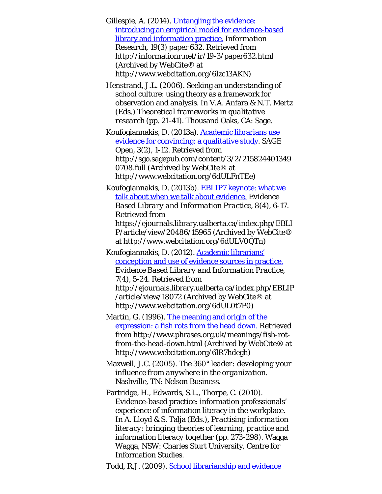Gillespie, A. (2014). [Untangling the evidence:](http://www.webcitation.org/6lzc13AKN) [introducing an empirical model for evidence-based](http://www.webcitation.org/6lzc13AKN) [library and information practice.](http://www.webcitation.org/6lzc13AKN) *Information Research, 19*(3) paper 632. Retrieved from http://informationr.net/ir/19-3/paper632.html (Archived by WebCite® at http://www.webcitation.org/6lzc13AKN)

Henstrand, J.L. (2006). Seeking an understanding of school culture: using theory as a framework for observation and analysis. In V.A. Anfara & N.T. Mertz (Eds.) *Theoretical frameworks in qualitative research* (pp. 21-41). Thousand Oaks, CA: Sage.

Koufogiannakis, D. (2013a). [Academic librarians use](http://www.webcitation.org/6dULFnTEe) [evidence for convincing: a qualitative study.](http://www.webcitation.org/6dULFnTEe) *SAGE Open, 3*(2), 1-12. Retrieved from http://sgo.sagepub.com/content/3/2/215824401349 0708.full (Archived by WebCite® at http://www.webcitation.org/6dULFnTEe)

Koufogiannakis, D. (2013b). **EBLIP7** keynote: what we [talk about when we talk about evidence.](http://www.webcitation.org/6dULV0QTn) *Evidence Based Library and Information Practice, 8*(4), 6-17. Retrieved from https://ejournals.library.ualberta.ca/index.php/EBLI P/article/view/20486/15965 (Archived by WebCite® at http://www.webcitation.org/6dULV0QTn)

Koufogiannakis, D. (2012). [Academic librarians'](http://www.webcitation.org/6dUL0t7P0) [conception and use of evidence sources in practice.](http://www.webcitation.org/6dUL0t7P0) *Evidence Based Library and Information Practice, 7*(4), 5-24. Retrieved from http://ejournals.library.ualberta.ca/index.php/EBLIP /article/view/18072 (Archived by WebCite® at http://www.webcitation.org/6dUL0t7P0)

Martin, G. (1996). [The meaning and origin of the](http://www.webcitation.org/6lR7hdegh) [expression: a fish rots from the head down.](http://www.webcitation.org/6lR7hdegh) Retrieved from http://www.phrases.org.uk/meanings/fish-rotfrom-the-head-down.html (Archived by WebCite® at http://www.webcitation.org/6lR7hdegh)

Maxwell, J.C. (2005). *The 360° leader: developing your influence from anywhere in the organization.* Nashville, TN: Nelson Business.

Partridge, H., Edwards, S.L., Thorpe, C. (2010). Evidence-based practice: information professionals' experience of information literacy in the workplace. In A. Lloyd & S. Talja (Eds.), *Practising information literacy: bringing theories of learning, practice and information literacy together* (pp. 273-298). Wagga Wagga, NSW: Charles Sturt University, Centre for Information Studies.

Todd, R.J. (2009). [School librarianship and evidence](http://www.webcitation.org/6dUUBCTlq)